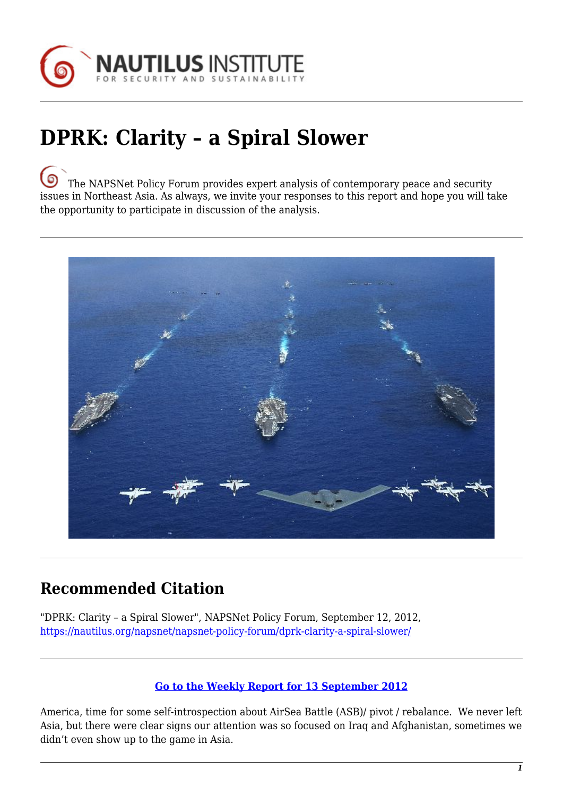

## **DPRK: Clarity – a Spiral Slower**

[T](https://nautilus.org/wp-content/uploads/2013/05/nautilus-logo-small.png)he NAPSNet Policy Forum provides expert analysis of contemporary peace and security issues in Northeast Asia. As always, we invite your responses to this report and hope you will take the opportunity to participate in discussion of the analysis.



## **Recommended Citation**

"DPRK: Clarity – a Spiral Slower", NAPSNet Policy Forum, September 12, 2012, <https://nautilus.org/napsnet/napsnet-policy-forum/dprk-clarity-a-spiral-slower/>

## **[Go to the Weekly Report for 13 September 2012](https://nautilus.org/?p=25511)**

America, time for some self-introspection about AirSea Battle (ASB)/ pivot / rebalance. We never left Asia, but there were clear signs our attention was so focused on Iraq and Afghanistan, sometimes we didn't even show up to the game in Asia.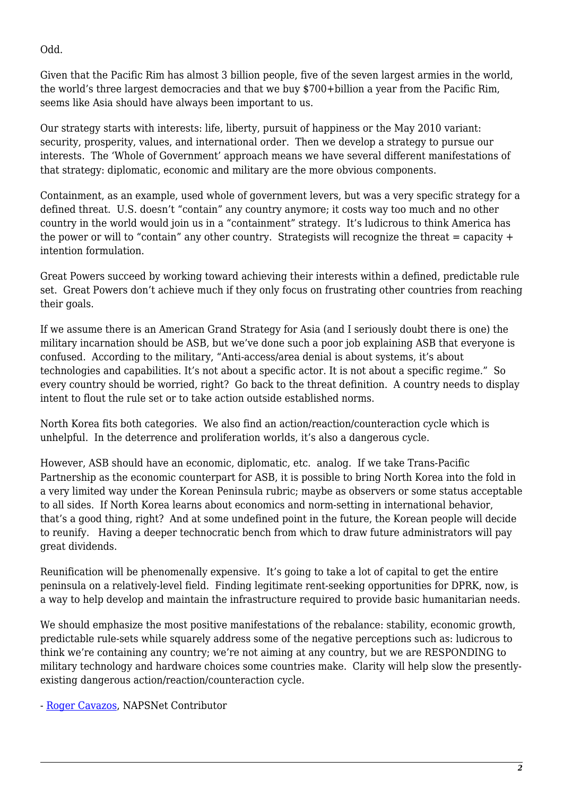Odd.

Given that the Pacific Rim has almost 3 billion people, five of the seven largest armies in the world, the world's three largest democracies and that we buy \$700+billion a year from the Pacific Rim, seems like Asia should have always been important to us.

Our strategy starts with interests: life, liberty, pursuit of happiness or the May 2010 variant: security, prosperity, values, and international order. Then we develop a strategy to pursue our interests. The 'Whole of Government' approach means we have several different manifestations of that strategy: diplomatic, economic and military are the more obvious components.

Containment, as an example, used whole of government levers, but was a very specific strategy for a defined threat. U.S. doesn't "contain" any country anymore; it costs way too much and no other country in the world would join us in a "containment" strategy. It's ludicrous to think America has the power or will to "contain" any other country. Strategists will recognize the threat  $=$  capacity  $+$ intention formulation.

Great Powers succeed by working toward achieving their interests within a defined, predictable rule set. Great Powers don't achieve much if they only focus on frustrating other countries from reaching their goals.

If we assume there is an American Grand Strategy for Asia (and I seriously doubt there is one) the military incarnation should be ASB, but we've done such a poor job explaining ASB that everyone is confused. According to the military, "Anti-access/area denial is about systems, it's about technologies and capabilities. It's not about a specific actor. It is not about a specific regime." So every country should be worried, right? Go back to the threat definition. A country needs to display intent to flout the rule set or to take action outside established norms.

North Korea fits both categories. We also find an action/reaction/counteraction cycle which is unhelpful. In the deterrence and proliferation worlds, it's also a dangerous cycle.

However, ASB should have an economic, diplomatic, etc. analog. If we take Trans-Pacific Partnership as the economic counterpart for ASB, it is possible to bring North Korea into the fold in a very limited way under the Korean Peninsula rubric; maybe as observers or some status acceptable to all sides. If North Korea learns about economics and norm-setting in international behavior, that's a good thing, right? And at some undefined point in the future, the Korean people will decide to reunify. Having a deeper technocratic bench from which to draw future administrators will pay great dividends.

Reunification will be phenomenally expensive. It's going to take a lot of capital to get the entire peninsula on a relatively-level field. Finding legitimate rent-seeking opportunities for DPRK, now, is a way to help develop and maintain the infrastructure required to provide basic humanitarian needs.

We should emphasize the most positive manifestations of the rebalance: stability, economic growth, predictable rule-sets while squarely address some of the negative perceptions such as: ludicrous to think we're containing any country; we're not aiming at any country, but we are RESPONDING to military technology and hardware choices some countries make. Clarity will help slow the presentlyexisting dangerous action/reaction/counteraction cycle.

- [Roger Cavazos,](https://nautilus.org/network/associates/roger-cavazos/) NAPSNet Contributor